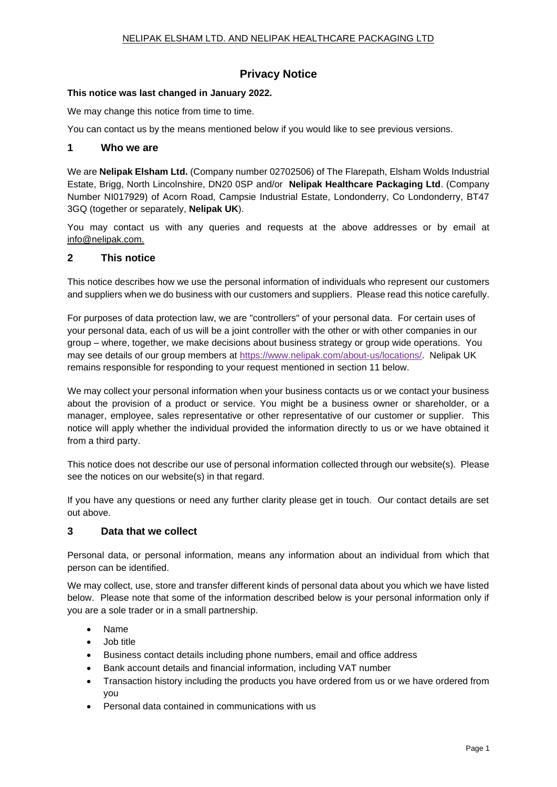# **Privacy Notice**

#### **This notice was last changed in January 2022.**

We may change this notice from time to time.

You can contact us by the means mentioned below if you would like to see previous versions.

### **1 Who we are**

We are **Nelipak Elsham Ltd.** (Company number 02702506) of The Flarepath, Elsham Wolds Industrial Estate, Brigg, North Lincolnshire, DN20 0SP and/or **Nelipak Healthcare Packaging Ltd**. (Company Number NI017929) of Acorn Road, Campsie Industrial Estate, Londonderry, Co Londonderry, BT47 3GQ (together or separately, **Nelipak UK**).

You may contact us with any queries and requests at the above addresses or by email at info@nelipak.com.

### **2 This notice**

This notice describes how we use the personal information of individuals who represent our customers and suppliers when we do business with our customers and suppliers. Please read this notice carefully.

For purposes of data protection law, we are "controllers" of your personal data. For certain uses of your personal data, each of us will be a joint controller with the other or with other companies in our group – where, together, we make decisions about business strategy or group wide operations. You may see details of our group members at [https://www.nelipak.com/about-us/locations/.](https://www.nelipak.com/about-us/locations/) Nelipak UK remains responsible for responding to your request mentioned in section 11 below.

We may collect your personal information when your business contacts us or we contact your business about the provision of a product or service. You might be a business owner or shareholder, or a manager, employee, sales representative or other representative of our customer or supplier. This notice will apply whether the individual provided the information directly to us or we have obtained it from a third party.

This notice does not describe our use of personal information collected through our website(s). Please see the notices on our website(s) in that regard.

If you have any questions or need any further clarity please get in touch. Our contact details are set out above.

### **3 Data that we collect**

Personal data, or personal information, means any information about an individual from which that person can be identified.

We may collect, use, store and transfer different kinds of personal data about you which we have listed below. Please note that some of the information described below is your personal information only if you are a sole trader or in a small partnership.

- Name
- Job title
- Business contact details including phone numbers, email and office address
- Bank account details and financial information, including VAT number
- Transaction history including the products you have ordered from us or we have ordered from you
- Personal data contained in communications with us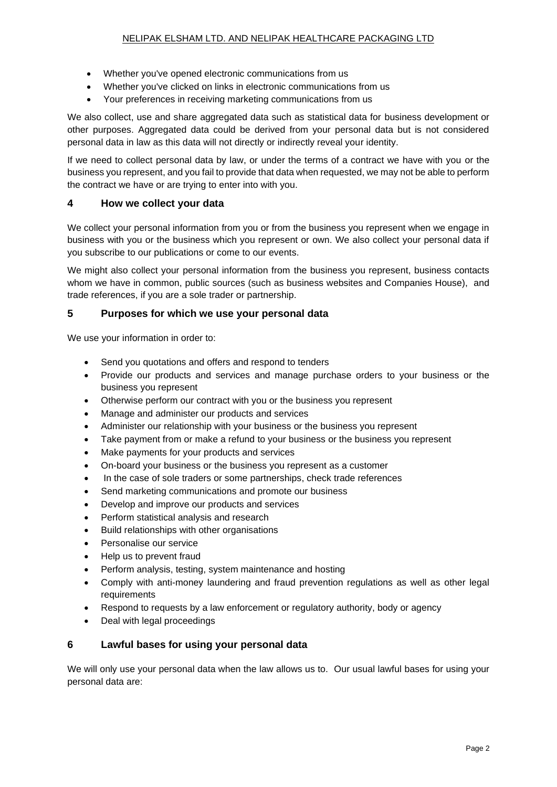- Whether you've opened electronic communications from us
- Whether you've clicked on links in electronic communications from us
- Your preferences in receiving marketing communications from us

We also collect, use and share aggregated data such as statistical data for business development or other purposes. Aggregated data could be derived from your personal data but is not considered personal data in law as this data will not directly or indirectly reveal your identity.

If we need to collect personal data by law, or under the terms of a contract we have with you or the business you represent, and you fail to provide that data when requested, we may not be able to perform the contract we have or are trying to enter into with you.

### **4 How we collect your data**

We collect your personal information from you or from the business you represent when we engage in business with you or the business which you represent or own. We also collect your personal data if you subscribe to our publications or come to our events.

We might also collect your personal information from the business you represent, business contacts whom we have in common, public sources (such as business websites and Companies House), and trade references, if you are a sole trader or partnership.

# **5 Purposes for which we use your personal data**

We use your information in order to:

- Send you quotations and offers and respond to tenders
- Provide our products and services and manage purchase orders to your business or the business you represent
- Otherwise perform our contract with you or the business you represent
- Manage and administer our products and services
- Administer our relationship with your business or the business you represent
- Take payment from or make a refund to your business or the business you represent
- Make payments for your products and services
- On-board your business or the business you represent as a customer
- In the case of sole traders or some partnerships, check trade references
- Send marketing communications and promote our business
- Develop and improve our products and services
- Perform statistical analysis and research
- Build relationships with other organisations
- Personalise our service
- Help us to prevent fraud
- Perform analysis, testing, system maintenance and hosting
- Comply with anti-money laundering and fraud prevention regulations as well as other legal requirements
- Respond to requests by a law enforcement or regulatory authority, body or agency
- Deal with legal proceedings

# **6 Lawful bases for using your personal data**

We will only use your personal data when the law allows us to. Our usual lawful bases for using your personal data are: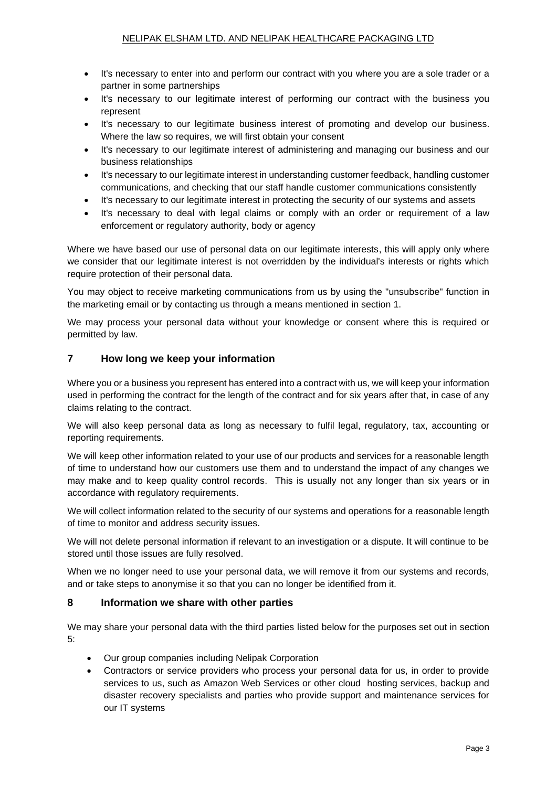- It's necessary to enter into and perform our contract with you where you are a sole trader or a partner in some partnerships
- It's necessary to our legitimate interest of performing our contract with the business you represent
- It's necessary to our legitimate business interest of promoting and develop our business. Where the law so requires, we will first obtain your consent
- It's necessary to our legitimate interest of administering and managing our business and our business relationships
- It's necessary to our legitimate interest in understanding customer feedback, handling customer communications, and checking that our staff handle customer communications consistently
- It's necessary to our legitimate interest in protecting the security of our systems and assets
- It's necessary to deal with legal claims or comply with an order or requirement of a law enforcement or regulatory authority, body or agency

Where we have based our use of personal data on our legitimate interests, this will apply only where we consider that our legitimate interest is not overridden by the individual's interests or rights which require protection of their personal data.

You may object to receive marketing communications from us by using the "unsubscribe" function in the marketing email or by contacting us through a means mentioned in section 1.

We may process your personal data without your knowledge or consent where this is required or permitted by law.

# **7 How long we keep your information**

Where you or a business you represent has entered into a contract with us, we will keep your information used in performing the contract for the length of the contract and for six years after that, in case of any claims relating to the contract.

We will also keep personal data as long as necessary to fulfil legal, regulatory, tax, accounting or reporting requirements.

We will keep other information related to your use of our products and services for a reasonable length of time to understand how our customers use them and to understand the impact of any changes we may make and to keep quality control records. This is usually not any longer than six years or in accordance with regulatory requirements.

We will collect information related to the security of our systems and operations for a reasonable length of time to monitor and address security issues.

We will not delete personal information if relevant to an investigation or a dispute. It will continue to be stored until those issues are fully resolved.

When we no longer need to use your personal data, we will remove it from our systems and records, and or take steps to anonymise it so that you can no longer be identified from it.

### **8 Information we share with other parties**

We may share your personal data with the third parties listed below for the purposes set out in section 5:

- Our group companies including Nelipak Corporation
- Contractors or service providers who process your personal data for us, in order to provide services to us, such as Amazon Web Services or other cloud hosting services, backup and disaster recovery specialists and parties who provide support and maintenance services for our IT systems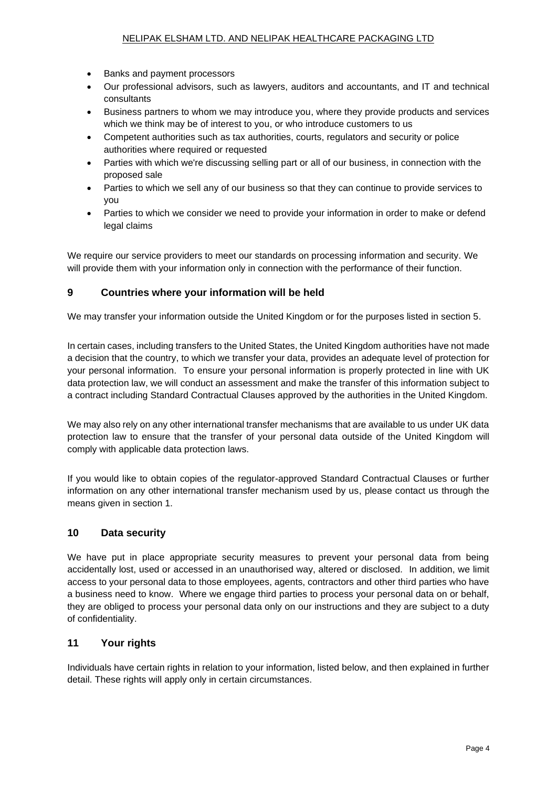- Banks and payment processors
- Our professional advisors, such as lawyers, auditors and accountants, and IT and technical consultants
- Business partners to whom we may introduce you, where they provide products and services which we think may be of interest to you, or who introduce customers to us
- Competent authorities such as tax authorities, courts, regulators and security or police authorities where required or requested
- Parties with which we're discussing selling part or all of our business, in connection with the proposed sale
- Parties to which we sell any of our business so that they can continue to provide services to you
- Parties to which we consider we need to provide your information in order to make or defend legal claims

We require our service providers to meet our standards on processing information and security. We will provide them with your information only in connection with the performance of their function.

# **9 Countries where your information will be held**

We may transfer your information outside the United Kingdom or for the purposes listed in section 5.

In certain cases, including transfers to the United States, the United Kingdom authorities have not made a decision that the country, to which we transfer your data, provides an adequate level of protection for your personal information. To ensure your personal information is properly protected in line with UK data protection law, we will conduct an assessment and make the transfer of this information subject to a contract including Standard Contractual Clauses approved by the authorities in the United Kingdom.

We may also rely on any other international transfer mechanisms that are available to us under UK data protection law to ensure that the transfer of your personal data outside of the United Kingdom will comply with applicable data protection laws.

If you would like to obtain copies of the regulator-approved Standard Contractual Clauses or further information on any other international transfer mechanism used by us, please contact us through the means given in section 1.

# **10 Data security**

We have put in place appropriate security measures to prevent your personal data from being accidentally lost, used or accessed in an unauthorised way, altered or disclosed. In addition, we limit access to your personal data to those employees, agents, contractors and other third parties who have a business need to know. Where we engage third parties to process your personal data on or behalf, they are obliged to process your personal data only on our instructions and they are subject to a duty of confidentiality.

# **11 Your rights**

Individuals have certain rights in relation to your information, listed below, and then explained in further detail. These rights will apply only in certain circumstances.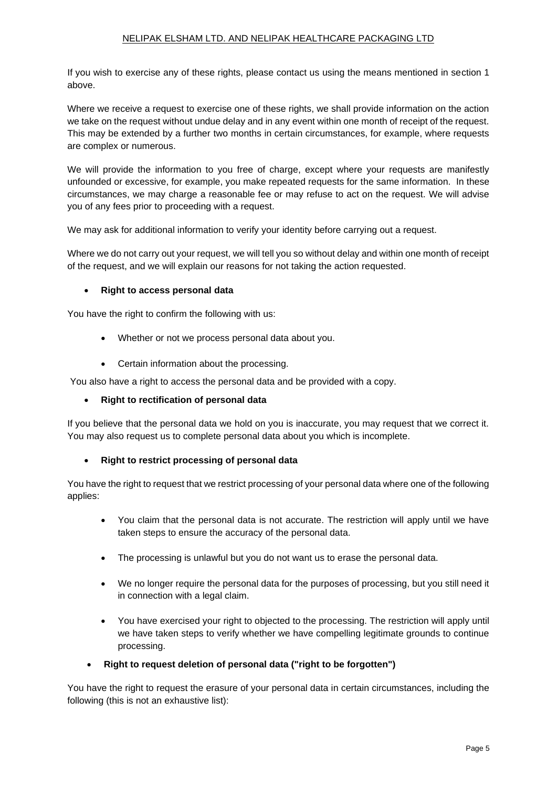### NELIPAK ELSHAM LTD. AND NELIPAK HEALTHCARE PACKAGING LTD

If you wish to exercise any of these rights, please contact us using the means mentioned in section 1 above.

Where we receive a request to exercise one of these rights, we shall provide information on the action we take on the request without undue delay and in any event within one month of receipt of the request. This may be extended by a further two months in certain circumstances, for example, where requests are complex or numerous.

We will provide the information to you free of charge, except where your requests are manifestly unfounded or excessive, for example, you make repeated requests for the same information. In these circumstances, we may charge a reasonable fee or may refuse to act on the request. We will advise you of any fees prior to proceeding with a request.

We may ask for additional information to verify your identity before carrying out a request.

Where we do not carry out your request, we will tell you so without delay and within one month of receipt of the request, and we will explain our reasons for not taking the action requested.

### • **Right to access personal data**

You have the right to confirm the following with us:

- Whether or not we process personal data about you.
- Certain information about the processing.

You also have a right to access the personal data and be provided with a copy.

### • **Right to rectification of personal data**

If you believe that the personal data we hold on you is inaccurate, you may request that we correct it. You may also request us to complete personal data about you which is incomplete.

### • **Right to restrict processing of personal data**

You have the right to request that we restrict processing of your personal data where one of the following applies:

- You claim that the personal data is not accurate. The restriction will apply until we have taken steps to ensure the accuracy of the personal data.
- The processing is unlawful but you do not want us to erase the personal data.
- We no longer require the personal data for the purposes of processing, but you still need it in connection with a legal claim.
- You have exercised your right to objected to the processing. The restriction will apply until we have taken steps to verify whether we have compelling legitimate grounds to continue processing.
- **Right to request deletion of personal data ("right to be forgotten")**

You have the right to request the erasure of your personal data in certain circumstances, including the following (this is not an exhaustive list):